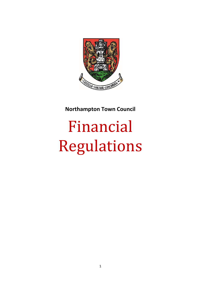

**Northampton Town Council**

# Financial Regulations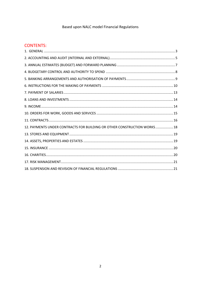# Based upon NALC model Financial Regulations

# **CONTENTS:**

| 12. PAYMENTS UNDER CONTRACTS FOR BUILDING OR OTHER CONSTRUCTION WORKS 18 |  |
|--------------------------------------------------------------------------|--|
|                                                                          |  |
|                                                                          |  |
|                                                                          |  |
|                                                                          |  |
|                                                                          |  |
|                                                                          |  |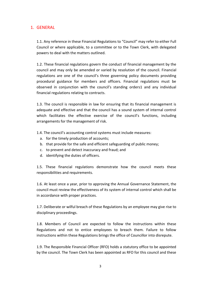### <span id="page-2-0"></span>1. GENERAL

1.1. Any reference in these Financial Regulations to "Council" may refer to either Full Council or where applicable, to a committee or to the Town Clerk, with delegated powers to deal with the matters outlined.

1.2. These financial regulations govern the conduct of financial management by the council and may only be amended or varied by resolution of the council. Financial regulations are one of the council's three governing policy documents providing procedural guidance for members and officers. Financial regulations must be observed in conjunction with the council's standing orders1 and any individual financial regulations relating to contracts.

1.3. The council is responsible in law for ensuring that its financial management is adequate and effective and that the council has a sound system of internal control which facilitates the effective exercise of the council's functions, including arrangements for the management of risk.

1.4. The council's accounting control systems must include measures:

- a. for the timely production of accounts;
- b. that provide for the safe and efficient safeguarding of public money;
- c. to prevent and detect inaccuracy and fraud; and
- d. identifying the duties of officers.

1.5. These financial regulations demonstrate how the council meets these responsibilities and requirements.

1.6. At least once a year, prior to approving the Annual Governance Statement, the council must review the effectiveness of its system of internal control which shall be in accordance with proper practices.

1.7. Deliberate or wilful breach of these Regulations by an employee may give rise to disciplinary proceedings.

1.8. Members of Council are expected to follow the instructions within these Regulations and not to entice employees to breach them. Failure to follow instructions within these Regulations brings the office of Councillor into disrepute.

1.9. The Responsible Financial Officer (RFO) holds a statutory office to be appointed by the council. The Town Clerk has been appointed as RFO for this council and these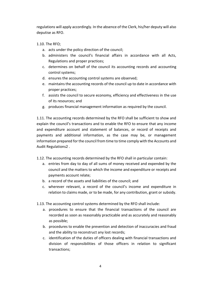regulations will apply accordingly. In the absence of the Clerk, his/her deputy will also deputise as RFO.

- 1.10. The RFO;
	- a. acts under the policy direction of the council;
	- b. administers the council's financial affairs in accordance with all Acts, Regulations and proper practices;
	- c. determines on behalf of the council its accounting records and accounting control systems;
	- d. ensures the accounting control systems are observed;
	- e. maintains the accounting records of the council up to date in accordance with proper practices;
	- f. assists the council to secure economy, efficiency and effectiveness in the use of its resources; and
	- g. produces financial management information as required by the council.

1.11. The accounting records determined by the RFO shall be sufficient to show and explain the council's transactions and to enable the RFO to ensure that any income and expenditure account and statement of balances, or record of receipts and payments and additional information, as the case may be, or management information prepared for the council from time to time comply with the Accounts and Audit Regulations2 .

- 1.12. The accounting records determined by the RFO shall in particular contain:
	- a. entries from day to day of all sums of money received and expended by the council and the matters to which the income and expenditure or receipts and payments account relate;
	- b. a record of the assets and liabilities of the council; and
	- c. wherever relevant, a record of the council's income and expenditure in relation to claims made, or to be made, for any contribution, grant or subsidy.
- 1.13. The accounting control systems determined by the RFO shall include:
	- a. procedures to ensure that the financial transactions of the council are recorded as soon as reasonably practicable and as accurately and reasonably as possible;
	- b. procedures to enable the prevention and detection of inaccuracies and fraud and the ability to reconstruct any lost records;
	- c. identification of the duties of officers dealing with financial transactions and division of responsibilities of those officers in relation to significant transactions;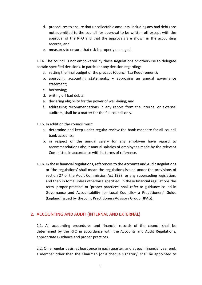- d. procedures to ensure that uncollectable amounts, including any bad debts are not submitted to the council for approval to be written off except with the approval of the RFO and that the approvals are shown in the accounting records; and
- e. measures to ensure that risk is properly managed.

1.14. The council is not empowered by these Regulations or otherwise to delegate certain specified decisions. In particular any decision regarding:

- a. setting the final budget or the precept (Council Tax Requirement);
- b. approving accounting statements;  $\bullet$  approving an annual governance statement;
- c. borrowing;
- d. writing off bad debts;
- e. declaring eligibility for the power of well-being; and
- f. addressing recommendations in any report from the internal or external auditors, shall be a matter for the full council only.
- 1.15. In addition the council must:
	- a. determine and keep under regular review the bank mandate for all council bank accounts;
	- b. in respect of the annual salary for any employee have regard to recommendations about annual salaries of employees made by the relevant Committee in accordance with its terms of reference.
- 1.16. In these financial regulations, references to the Accounts and Audit Regulations or 'the regulations' shall mean the regulations issued under the provisions of section 27 of the Audit Commission Act 1998, or any superseding legislation, and then in force unless otherwise specified. In these financial regulations the term 'proper practice' or 'proper practices' shall refer to guidance issued in Governance and Accountability for Local Councils– a Practitioners' Guide (England)issued by the Joint Practitioners Advisory Group (JPAG).

#### <span id="page-4-0"></span>2. ACCOUNTING AND AUDIT (INTERNAL AND EXTERNAL)

2.1. All accounting procedures and financial records of the council shall be determined by the RFO in accordance with the Accounts and Audit Regulations, appropriate Guidance and proper practices.

2.2. On a regular basis, at least once in each quarter, and at each financial year end, a member other than the Chairman [or a cheque signatory] shall be appointed to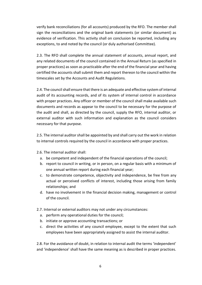verify bank reconciliations (for all accounts) produced by the RFO. The member shall sign the reconciliations and the original bank statements (or similar document) as evidence of verification. This activity shall on conclusion be reported, including any exceptions, to and noted by the council (or duly authorised Committee).

2.3. The RFO shall complete the annual statement of accounts, annual report, and any related documents of the council contained in the Annual Return (as specified in proper practices) as soon as practicable after the end of the financial year and having certified the accounts shall submit them and report thereon to the council within the timescales set by the Accounts and Audit Regulations.

2.4. The council shall ensure that there is an adequate and effective system of internal audit of its accounting records, and of its system of internal control in accordance with proper practices. Any officer or member of the council shall make available such documents and records as appear to the council to be necessary for the purpose of the audit and shall, as directed by the council, supply the RFO, internal auditor, or external auditor with such information and explanation as the council considers necessary for that purpose.

2.5. The internal auditor shall be appointed by and shall carry out the work in relation to internal controls required by the council in accordance with proper practices.

2.6. The internal auditor shall:

- a. be competent and independent of the financial operations of the council;
- b. report to council in writing, or in person, on a regular basis with a minimum of one annual written report during each financial year;
- c. to demonstrate competence, objectivity and independence, be free from any actual or perceived conflicts of interest, including those arising from family relationships; and
- d. have no involvement in the financial decision making, management or control of the council.
- 2.7. Internal or external auditors may not under any circumstances:
	- a. perform any operational duties for the council;
	- b. initiate or approve accounting transactions; or
	- c. direct the activities of any council employee, except to the extent that such employees have been appropriately assigned to assist the internal auditor.

2.8. For the avoidance of doubt, in relation to internal audit the terms 'independent' and 'independence' shall have the same meaning as is described in proper practices.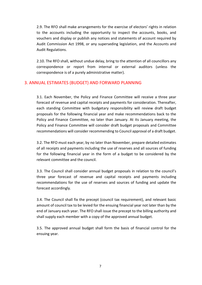2.9. The RFO shall make arrangements for the exercise of electors' rights in relation to the accounts including the opportunity to inspect the accounts, books, and vouchers and display or publish any notices and statements of account required by Audit Commission Act 1998, or any superseding legislation, and the Accounts and Audit Regulations.

2.10. The RFO shall, without undue delay, bring to the attention of all councillors any correspondence or report from internal or external auditors (unless the correspondence is of a purely administrative matter).

#### <span id="page-6-0"></span>3. ANNUAL ESTIMATES (BUDGET) AND FORWARD PLANNING

3.1. Each November, the Policy and Finance Committee will receive a three year forecast of revenue and capital receipts and payments for consideration. Thereafter, each standing Committee with budgetary responsibility will review draft budget proposals for the following financial year and make recommendations back to the Policy and Finance Committee, no later than January. At its January meeting, the Policy and Finance Committee will consider draft budget proposals and Committee recommendations will consider recommending to Council approval of a draft budget.

3.2. The RFO must each year, by no later than November, prepare detailed estimates of all receipts and payments including the use of reserves and all sources of funding for the following financial year in the form of a budget to be considered by the relevant committee and the council.

3.3. The Council shall consider annual budget proposals in relation to the council's three year forecast of revenue and capital receipts and payments including recommendations for the use of reserves and sources of funding and update the forecast accordingly.

3.4. The Council shall fix the precept (council tax requirement), and relevant basic amount of council tax to be levied for the ensuing financial year not later than by the end of January each year. The RFO shall issue the precept to the billing authority and shall supply each member with a copy of the approved annual budget.

3.5. The approved annual budget shall form the basis of financial control for the ensuing year.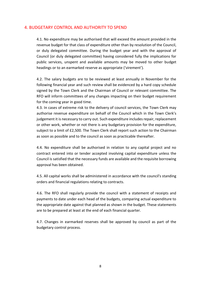#### <span id="page-7-0"></span>4. BUDGETARY CONTROL AND AUTHORITY TO SPEND

4.1. No expenditure may be authorised that will exceed the amount provided in the revenue budget for that class of expenditure other than by resolution of the Council, or duly delegated committee. During the budget year and with the approval of Council (or duly delegated committee) having considered fully the implications for public services, unspent and available amounts may be moved to other budget headings or to an earmarked reserve as appropriate ('virement').

4.2. The salary budgets are to be reviewed at least annually in November for the following financial year and such review shall be evidenced by a hard copy schedule signed by the Town Clerk and the Chairman of Council or relevant committee. The RFO will inform committees of any changes impacting on their budget requirement for the coming year in good time.

4.3. In cases of extreme risk to the delivery of council services, the Town Clerk may authorise revenue expenditure on behalf of the Council which in the Town Clerk's judgement it is necessary to carry out. Such expenditure includes repair, replacement or other work, whether or not there is any budgetary provision for the expenditure, subject to a limit of £2,500. The Town Clerk shall report such action to the Chairman as soon as possible and to the council as soon as practicable thereafter.

4.4. No expenditure shall be authorised in relation to any capital project and no contract entered into or tender accepted involving capital expenditure unless the Council is satisfied that the necessary funds are available and the requisite borrowing approval has been obtained.

4.5. All capital works shall be administered in accordance with the council's standing orders and financial regulations relating to contracts.

4.6. The RFO shall regularly provide the council with a statement of receipts and payments to date under each head of the budgets, comparing actual expenditure to the appropriate date against that planned as shown in the budget. These statements are to be prepared at least at the end of each financial quarter.

4.7. Changes in earmarked reserves shall be approved by council as part of the budgetary control process.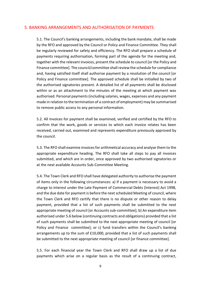#### <span id="page-8-0"></span>5. BANKING ARRANGEMENTS AND AUTHORISATION OF PAYMENTS

5.1. The Council's banking arrangements, including the bank mandate, shall be made by the RFO and approved by the Council or Policy and Finance Committee. They shall be regularly reviewed for safety and efficiency. The RFO shall prepare a schedule of payments requiring authorisation, forming part of the agenda for the meeting and, together with the relevant invoices, present the schedule to council [or the Policy and Finance committee]. The council/committee shall review the schedule for compliance and, having satisfied itself shall authorise payment by a resolution of the council [or Policy and Finance committee]. The approved schedule shall be initialled by two of the authorised signatories present. A detailed list of all payments shall be disclosed within or as an attachment to the minutes of the meeting at which payment was authorised. Personal payments (including salaries, wages, expenses and any payment made in relation to the termination of a contract of employment) may be summarised to remove public access to any personal information.

5.2. All invoices for payment shall be examined, verified and certified by the RFO to confirm that the work, goods or services to which each invoice relates has been received, carried out, examined and represents expenditure previously approved by the council.

5.3. The RFO shall examine invoices for arithmetical accuracy and analyse them to the appropriate expenditure heading. The RFO shall take all steps to pay all invoices submitted, and which are in order, once approved by two authorised signatories or at the next available Accounts Sub-Committee Meeting.

5.4. The Town Clerk and RFO shall have delegated authority to authorise the payment of items only in the following circumstances: a) If a payment is necessary to avoid a charge to interest under the Late Payment of Commercial Debts (Interest) Act 1998, and the due date for payment is before the next scheduled Meeting of council, where the Town Clerk and RFO certify that there is no dispute or other reason to delay payment, provided that a list of such payments shall be submitted to the next appropriate meeting of council [or Accounts sub-committee]; b) An expenditure item authorised under 5.6 below (continuing contracts and obligations) provided that a list of such payments shall be submitted to the next appropriate meeting of council [or Policy and Finance committee]; or c) fund transfers within the Council's banking arrangements up to the sum of £10,000, provided that a list of such payments shall be submitted to the next appropriate meeting of council [or finance committee].

5.5. For each financial year the Town Clerk and RFO shall draw up a list of due payments which arise on a regular basis as the result of a continuing contract,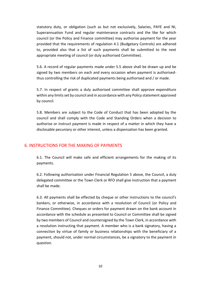statutory duty, or obligation (such as but not exclusively, Salaries, PAYE and NI, Superannuation Fund and regular maintenance contracts and the like for which council (or the Policy and Finance committee) may authorise payment for the year provided that the requirements of regulation 4.1 (Budgetary Controls) are adhered to, provided also that a list of such payments shall be submitted to the next appropriate meeting of council (or duly authorised Committee).

5.6. A record of regular payments made under 5.5 above shall be drawn up and be signed by two members on each and every occasion when payment is authorisedthus controlling the risk of duplicated payments being authorised and / or made.

5.7. In respect of grants a duly authorised committee shall approve expenditure within any limits set by council and in accordance with any Policy statement approved by council.

5.8. Members are subject to the Code of Conduct that has been adopted by the council and shall comply with the Code and Standing Orders when a decision to authorise or instruct payment is made in respect of a matter in which they have a disclosable pecuniary or other interest, unless a dispensation has been granted.

#### <span id="page-9-0"></span>6. INSTRUCTIONS FOR THE MAKING OF PAYMENTS

6.1. The Council will make safe and efficient arrangements for the making of its payments.

6.2. Following authorisation under Financial Regulation 5 above, the Council, a duly delegated committee or the Town Clerk or RFO shall give instruction that a payment shall be made.

6.3. All payments shall be effected by cheque or other instructions to the council's bankers, or otherwise, in accordance with a resolution of Council (or Policy and Finance Committee). Cheques or orders for payment drawn on the bank account in accordance with the schedule as presented to Council or Committee shall be signed by two members of Council and countersigned by the Town Clerk, in accordance with a resolution instructing that payment. A member who is a bank signatory, having a connection by virtue of family or business relationships with the beneficiary of a payment, should not, under normal circumstances, be a signatory to the payment in question.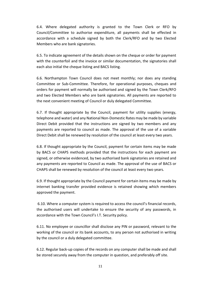6.4. Where delegated authority is granted to the Town Clerk or RFO by Council/Committee to authorise expenditure, all payments shall be effected in accordance with a schedule signed by both the Clerk/RFO and by two Elected Members who are bank signatories.

6.5. To indicate agreement of the details shown on the cheque or order for payment with the counterfoil and the invoice or similar documentation, the signatories shall each also initial the cheque listing and BACS listing.

6.6. Northampton Town Council does not meet monthly; nor does any standing Committee or Sub-Committee. Therefore, for operational purposes, cheques and orders for payment will normally be authorised and signed by the Town Clerk/RFO and two Elected Members who are bank signatories. All payments are reported to the next convenient meeting of Council or duly delegated Committee.

6.7. If thought appropriate by the Council, payment for utility supplies (energy, telephone and water) and any National Non-Domestic Rates may be made by variable Direct Debit provided that the instructions are signed by two members and any payments are reported to council as made. The approval of the use of a variable Direct Debit shall be renewed by resolution of the council at least every two years.

6.8. If thought appropriate by the Council, payment for certain items may be made by BACS or CHAPS methods provided that the instructions for each payment are signed, or otherwise evidenced, by two authorised bank signatories are retained and any payments are reported to Council as made. The approval of the use of BACS or CHAPS shall be renewed by resolution of the council at least every two years.

6.9. If thought appropriate by the Council payment for certain items may be made by internet banking transfer provided evidence is retained showing which members approved the payment.

6.10. Where a computer system is required to access the council's financial records, the authorised users will undertake to ensure the security of any passwords, in accordance with the Town Council's I.T. Security policy.

6.11. No employee or councillor shall disclose any PIN or password, relevant to the working of the council or its bank accounts, to any person not authorised in writing by the council or a duly delegated committee.

6.12. Regular back-up copies of the records on any computer shall be made and shall be stored securely away from the computer in question, and preferably off site.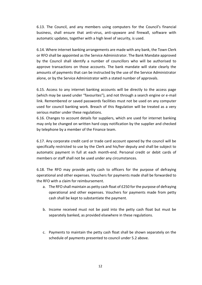6.13. The Council, and any members using computers for the Council's financial business, shall ensure that anti-virus, anti-spyware and firewall, software with automatic updates, together with a high level of security, is used.

6.14. Where internet banking arrangements are made with any bank, the Town Clerk or RFO shall be appointed as the Service Administrator. The Bank Mandate approved by the Council shall identify a number of councillors who will be authorised to approve transactions on those accounts. The bank mandate will state clearly the amounts of payments that can be instructed by the use of the Service Administrator alone, or by the Service Administrator with a stated number of approvals.

6.15. Access to any internet banking accounts will be directly to the access page (which may be saved under "favourites"), and not through a search engine or e-mail link. Remembered or saved passwords facilities must not be used on any computer used for council banking work. Breach of this Regulation will be treated as a very serious matter under these regulations.

6.16. Changes to account details for suppliers, which are used for internet banking may only be changed on written hard copy notification by the supplier and checked by telephone by a member of the Finance team.

6.17. Any corporate credit card or trade card account opened by the council will be specifically restricted to use by the Clerk and his/her deputy and shall be subject to automatic payment in full at each month-end. Personal credit or debit cards of members or staff shall not be used under any circumstances.

6.18. The RFO may provide petty cash to officers for the purpose of defraying operational and other expenses. Vouchers for payments made shall be forwarded to the RFO with a claim for reimbursement.

- a. The RFO shall maintain as petty cash float of £250 for the purpose of defraying operational and other expenses. Vouchers for payments made from petty cash shall be kept to substantiate the payment.
- b. Income received must not be paid into the petty cash float but must be separately banked, as provided elsewhere in these regulations.
- c. Payments to maintain the petty cash float shall be shown separately on the schedule of payments presented to council under 5.2 above.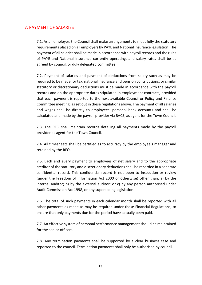## <span id="page-12-0"></span>7. PAYMENT OF SALARIES

7.1. As an employer, the Council shall make arrangements to meet fully the statutory requirements placed on all employers by PAYE and National Insurance legislation. The payment of all salaries shall be made in accordance with payroll records and the rules of PAYE and National Insurance currently operating, and salary rates shall be as agreed by council, or duly delegated committee.

7.2. Payment of salaries and payment of deductions from salary such as may be required to be made for tax, national insurance and pension contributions, or similar statutory or discretionary deductions must be made in accordance with the payroll records and on the appropriate dates stipulated in employment contracts, provided that each payment is reported to the next available Council or Policy and Finance Committee meeting, as set out in these regulations above. The payment of all salaries and wages shall be directly to employees' personal bank accounts and shall be calculated and made by the payroll provider via BACS, as agent for the Town Council.

7.3. The RFO shall maintain records detailing all payments made by the payroll provider as agent for the Town Council.

7.4. All timesheets shall be certified as to accuracy by the employee's manager and retained by the RFO.

7.5. Each and every payment to employees of net salary and to the appropriate creditor of the statutory and discretionary deductions shall be recorded in a separate confidential record. This confidential record is not open to inspection or review (under the Freedom of Information Act 2000 or otherwise) other than: a) by the internal auditor; b) by the external auditor; or c) by any person authorised under Audit Commission Act 1998, or any superseding legislation.

7.6. The total of such payments in each calendar month shall be reported with all other payments as made as may be required under these Financial Regulations, to ensure that only payments due for the period have actually been paid.

7.7. An effective system of personal performance management should be maintained for the senior officers.

7.8. Any termination payments shall be supported by a clear business case and reported to the council. Termination payments shall only be authorised by council.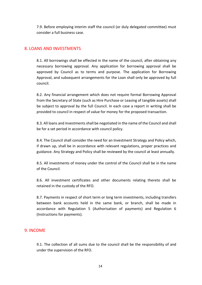7.9. Before employing interim staff the council (or duly delegated committee) must consider a full business case.

### <span id="page-13-0"></span>8. LOANS AND INVESTMENTS

8.1. All borrowings shall be effected in the name of the council, after obtaining any necessary borrowing approval. Any application for borrowing approval shall be approved by Council as to terms and purpose. The application for Borrowing Approval, and subsequent arrangements for the Loan shall only be approved by full council.

8.2. Any financial arrangement which does not require formal Borrowing Approval from the Secretary of State (such as Hire Purchase or Leasing of tangible assets) shall be subject to approval by the full Council. In each case a report in writing shall be provided to council in respect of value for money for the proposed transaction.

8.3. All loans and investments shall be negotiated in the name of the Council and shall be for a set period in accordance with council policy.

8.4. The Council shall consider the need for an Investment Strategy and Policy which, if drawn up, shall be in accordance with relevant regulations, proper practices and guidance. Any Strategy and Policy shall be reviewed by the council at least annually.

8.5. All investments of money under the control of the Council shall be in the name of the Council.

8.6. All investment certificates and other documents relating thereto shall be retained in the custody of the RFO.

8.7. Payments in respect of short term or long term investments, including transfers between bank accounts held in the same bank, or branch, shall be made in accordance with Regulation 5 (Authorisation of payments) and Regulation 6 (Instructions for payments).

#### <span id="page-13-1"></span>9. INCOME

9.1. The collection of all sums due to the council shall be the responsibility of and under the supervision of the RFO.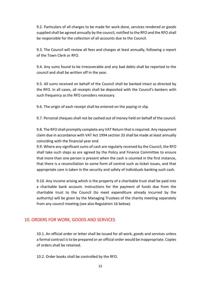9.2. Particulars of all charges to be made for work done, services rendered or goods supplied shall be agreed annually by the council, notified to the RFO and the RFO shall be responsible for the collection of all accounts due to the Council.

9.3. The Council will review all fees and charges at least annually, following a report of the Town Clerk or RFO.

9.4. Any sums found to be irrecoverable and any bad debts shall be reported to the council and shall be written off in the year.

9.5. All sums received on behalf of the Council shall be banked intact as directed by the RFO. In all cases, all receipts shall be deposited with the Council's bankers with such frequency as the RFO considers necessary.

9.6. The origin of each receipt shall be entered on the paying-in slip.

9.7. Personal cheques shall not be cashed out of money held on behalf of the council.

9.8. The RFO shall promptly complete any VAT Return that is required. Any repayment claim due in accordance with VAT Act 1994 section 33 shall be made at least annually coinciding with the financial year end.

9.9. Where any significant sums of cash are regularly received by the Council, the RFO shall take such steps as are agreed by the Policy and Finance Committee to ensure that more than one person is present when the cash is counted in the first instance, that there is a reconciliation to some form of control such as ticket issues, and that appropriate care is taken in the security and safety of individuals banking such cash.

9.10. Any income arising which is the property of a charitable trust shall be paid into a charitable bank account. Instructions for the payment of funds due from the charitable trust to the Council (to meet expenditure already incurred by the authority) will be given by the Managing Trustees of the charity meeting separately from any council meeting (see also Regulation 16 below).

## <span id="page-14-0"></span>10. ORDERS FOR WORK, GOODS AND SERVICES

10.1. An official order or letter shall be issued for all work, goods and services unless a formal contract is to be prepared or an official order would be inappropriate. Copies of orders shall be retained.

10.2. Order books shall be controlled by the RFO.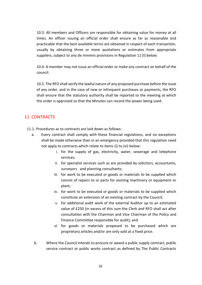10.3. All members and Officers are responsible for obtaining value for money at all times. An officer issuing an official order shall ensure as far as reasonable and practicable that the best available terms are obtained in respect of each transaction, usually by obtaining three or more quotations or estimates from appropriate suppliers, subject to any de minimis provisions in Regulation 11 (I) below.

10.4. A member may not issue an official order or make any contract on behalf of the council.

10.5. The RFO shall verify the lawful nature of any proposed purchase before the issue of any order, and in the case of new or infrequent purchases or payments, the RFO shall ensure that the statutory authority shall be reported to the meeting at which the order is approved so that the Minutes can record the power being used.

## <span id="page-15-0"></span>11. CONTRACTS

- 11.1. Procedures as to contracts are laid down as follows:
	- a. Every contract shall comply with these financial regulations, and no exceptions shall be made otherwise than in an emergency provided that this regulation need not apply to contracts which relate to items (i) to (vi) below:
		- i. for the supply of gas, electricity, water, sewerage and telephone services;
		- ii. for specialist services such as are provided by solicitors, accountants, surveyors and planning consultants;
		- iii. for work to be executed or goods or materials to be supplied which consist of repairs to or parts for existing machinery or equipment or plant;
		- iv. for work to be executed or goods or materials to be supplied which constitute an extension of an existing contract by the Council;
		- v. for additional audit work of the external Auditor up to an estimated value of £250 (in excess of this sum the Clerk and RFO shall act after consultation with the Chairman and Vice Chairman of the Policy and Finance Committee responsible for audit); and
		- vi. for goods or materials proposed to be purchased which are proprietary articles and/or are only sold at a fixed price.
		- b. Where the Council intends to procure or award a public supply contract, public service contract or public works contract as defined by The Public Contracts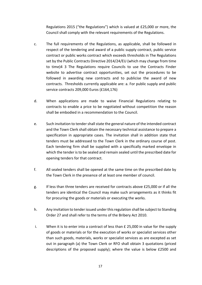Regulations 2015 ("the Regulations") which is valued at £25,000 or more, the Council shall comply with the relevant requirements of the Regulations.

- c. The full requirements of the Regulations, as applicable, shall be followed in respect of the tendering and award of a public supply contract, public service contract or public works contract which exceeds thresholds in The Regulations set by the Public Contracts Directive 2014/24/EU (which may change from time to time)4 3 The Regulations require Councils to use the Contracts Finder website to advertise contract opportunities, set out the procedures to be followed in awarding new contracts and to publicise the award of new contracts. Thresholds currently applicable are: a. For public supply and public service contracts 209,000 Euros (£164,176)
- d. When applications are made to waive Financial Regulations relating to contracts to enable a price to be negotiated without competition the reason shall be embodied in a recommendation to the Council.
- e. Such invitation to tender shall state the general nature of the intended contract and the Town Clerk shall obtain the necessary technical assistance to prepare a specification in appropriate cases. The invitation shall in addition state that tenders must be addressed to the Town Clerk in the ordinary course of post. Each tendering firm shall be supplied with a specifically marked envelope in which the tender is to be sealed and remain sealed until the prescribed date for opening tenders for that contract.
- f. All sealed tenders shall be opened at the same time on the prescribed date by the Town Clerk in the presence of at least one member of council.
- g. If less than three tenders are received for contracts above £25,000 or if all the tenders are identical the Council may make such arrangements as it thinks fit for procuring the goods or materials or executing the works.
- h. Any invitation to tender issued under this regulation shall be subject to Standing Order 27 and shall refer to the terms of the Bribery Act 2010.
- i. When it is to enter into a contract of less than  $E$  25,000 in value for the supply of goods or materials or for the execution of works or specialist services other than such goods, materials, works or specialist services as are excepted as set out in paragraph (a) the Town Clerk or RFO shall obtain 3 quotations (priced descriptions of the proposed supply); where the value is below £2500 and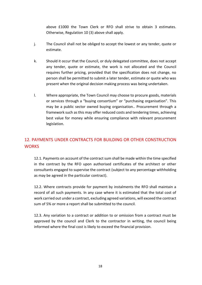above £1000 the Town Clerk or RFO shall strive to obtain 3 estimates. Otherwise, Regulation 10 (3) above shall apply.

- j. The Council shall not be obliged to accept the lowest or any tender, quote or estimate.
- k. Should it occur that the Council, or duly delegated committee, does not accept any tender, quote or estimate, the work is not allocated and the Council requires further pricing, provided that the specification does not change, no person shall be permitted to submit a later tender, estimate or quote who was present when the original decision making process was being undertaken.
- l. Where appropriate, the Town Council may choose to procure goods, materials or services through a "buying consortium" or "purchasing organisation". This may be a public sector owned buying organisation.. Procurement through a framework such as this may offer reduced costs and tendering times, achieving best value for money while ensuring compliance with relevant procurement legislation.

# <span id="page-17-0"></span>12. PAYMENTS UNDER CONTRACTS FOR BUILDING OR OTHER CONSTRUCTION **WORKS**

12.1. Payments on account of the contract sum shall be made within the time specified in the contract by the RFO upon authorised certificates of the architect or other consultants engaged to supervise the contract (subject to any percentage withholding as may be agreed in the particular contract).

12.2. Where contracts provide for payment by instalments the RFO shall maintain a record of all such payments. In any case where it is estimated that the total cost of work carried out under a contract, excluding agreed variations, will exceed the contract sum of 5% or more a report shall be submitted to the council.

12.3. Any variation to a contract or addition to or omission from a contract must be approved by the council and Clerk to the contractor in writing, the council being informed where the final cost is likely to exceed the financial provision.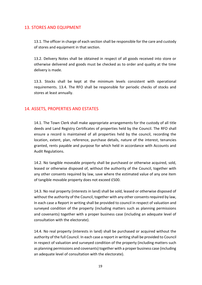### <span id="page-18-0"></span>13. STORES AND EQUIPMENT

13.1. The officer in charge of each section shall be responsible for the care and custody of stores and equipment in that section.

13.2. Delivery Notes shall be obtained in respect of all goods received into store or otherwise delivered and goods must be checked as to order and quality at the time delivery is made.

13.3. Stocks shall be kept at the minimum levels consistent with operational requirements. 13.4. The RFO shall be responsible for periodic checks of stocks and stores at least annually.

## <span id="page-18-1"></span>14. ASSETS, PROPERTIES AND ESTATES

14.1. The Town Clerk shall make appropriate arrangements for the custody of all title deeds and Land Registry Certificates of properties held by the Council. The RFO shall ensure a record is maintained of all properties held by the council, recording the location, extent, plan, reference, purchase details, nature of the interest, tenancies granted, rents payable and purpose for which held in accordance with Accounts and Audit Regulations.

14.2. No tangible moveable property shall be purchased or otherwise acquired, sold, leased or otherwise disposed of, without the authority of the Council, together with any other consents required by law, save where the estimated value of any one item of tangible movable property does not exceed £500.

14.3. No real property (interests in land) shall be sold, leased or otherwise disposed of without the authority of the Council, together with any other consents required by law, In each case a Report in writing shall be provided to council in respect of valuation and surveyed condition of the property (including matters such as planning permissions and covenants) together with a proper business case (including an adequate level of consultation with the electorate).

14.4. No real property (interests in land) shall be purchased or acquired without the authority of the full Council. In each case a report in writing shall be provided to Council in respect of valuation and surveyed condition of the property (including matters such as planning permissions and covenants) together with a proper business case (including an adequate level of consultation with the electorate).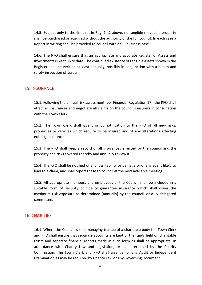14.5. Subject only to the limit set in Reg. 14.2 above, no tangible moveable property shall be purchased or acquired without the authority of the full council. In each case a Report in writing shall be provided to council with a full business case.

14.6. The RFO shall ensure that an appropriate and accurate Register of Assets and Investments is kept up to date. The continued existence of tangible assets shown in the Register shall be verified at least annually, possibly in conjunction with a health and safety inspection of assets.

#### <span id="page-19-0"></span>15. INSURANCE

15.1. Following the annual risk assessment (per Financial Regulation 17), the RFO shall effect all insurances and negotiate all claims on the council's insurers in consultation with the Town Clerk.

15.2. The Town Clerk shall give prompt notification to the RFO of all new risks, properties or vehicles which require to be insured and of any alterations affecting existing insurances.

15.3. The RFO shall keep a record of all insurances effected by the council and the property and risks covered thereby and annually review it.

15.4. The RFO shall be notified of any loss liability or damage or of any event likely to lead to a claim, and shall report these to council at the next available meeting.

15.5. All appropriate members and employees of the Council shall be included in a suitable form of security or fidelity guarantee insurance which shall cover the maximum risk exposure as determined [annually] by the council, or duly delegated committee.

#### <span id="page-19-1"></span>16. CHARITIES

16.1. Where the Council is sole managing trustee of a charitable body the Town Clerk and RFO shall ensure that separate accounts are kept of the funds held on charitable trusts and separate financial reports made in such form as shall be appropriate, in accordance with Charity Law and legislation, or as determined by the Charity Commission. The Town Clerk and RFO shall arrange for any Audit or Independent Examination as may be required by Charity Law or any Governing Document.